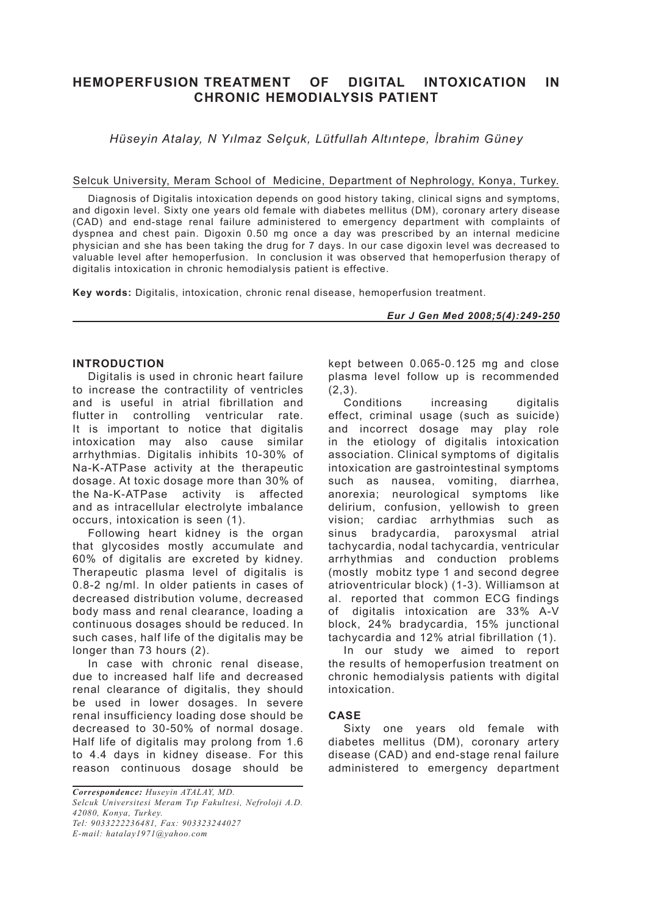# **HEMOPERFUSION TREATMENT OF DIGITAL INTOXICATION IN CHRONIC HEMODIALYSIS PATIENT**

*Hüseyin Atalay, N Yılmaz Selçuk, Lütfullah Altıntepe, İbrahim Güney*

## Selcuk University, Meram School of Medicine, Department of Nephrology, Konya, Turkey.

Diagnosis of Digitalis intoxication depends on good history taking, clinical signs and symptoms, and digoxin level. Sixty one years old female with diabetes mellitus (DM), coronary artery disease (CAD) and end-stage renal failure administered to emergency department with complaints of dyspnea and chest pain. Digoxin 0.50 mg once a day was prescribed by an internal medicine physician and she has been taking the drug for 7 days. In our case digoxin level was decreased to valuable level after hemoperfusion. In conclusion it was observed that hemoperfusion therapy of digitalis intoxication in chronic hemodialysis patient is effective.

**Key words:** Digitalis, intoxication, chronic renal disease, hemoperfusion treatment.

#### *Eur J Gen Med 2008;5(4):249-250*

## **INTRODUCTION**

Digitalis is used in chronic heart failure to increase the contractility of ventricles and is useful in atrial fibrillation and<br>flutter in controlling ventricular rate. flutter in controlling It is important to notice that digitalis intoxication may also cause similar arrhythmias. Digitalis inhibits 10-30% of Na-K-ATPase activity at the therapeutic dosage. At toxic dosage more than 30% of the Na-K-ATPase activity is affected and as intracellular electrolyte imbalance occurs, intoxication is seen (1).

Following heart kidney is the organ that glycosides mostly accumulate and 60% of digitalis are excreted by kidney. Therapeutic plasma level of digitalis is 0.8-2 ng/ml. In older patients in cases of decreased distribution volume, decreased body mass and renal clearance, loading a continuous dosages should be reduced. In such cases, half life of the digitalis may be longer than 73 hours (2).

In case with chronic renal disease, due to increased half life and decreased renal clearance of digitalis, they should be used in lower dosages. In severe renal insufficiency loading dose should be decreased to 30-50% of normal dosage. Half life of digitalis may prolong from 1.6 to 4.4 days in kidney disease. For this reason continuous dosage should be kept between 0.065-0.125 mg and close plasma level follow up is recommended  $(2.3)$ .

Conditions increasing digitalis effect, criminal usage (such as suicide) and incorrect dosage may play role in the etiology of digitalis intoxication association. Clinical symptoms of digitalis intoxication are gastrointestinal symptoms such as nausea, vomiting, diarrhea, anorexia; neurological symptoms like delirium, confusion, yellowish to green vision; cardiac arrhythmias such as sinus bradycardia, paroxysmal atrial tachycardia, nodal tachycardia, ventricular arrhythmias and conduction problems (mostly mobitz type 1 and second degree atrioventricular block) (1-3). Williamson at al. reported that common ECG findings of digitalis intoxication are 33% A-V block, 24% bradycardia, 15% junctional tachycardia and 12% atrial fibrillation (1).

In our study we aimed to report the results of hemoperfusion treatment on chronic hemodialysis patients with digital intoxication.

# **CASE**

Sixty one years old female with diabetes mellitus (DM), coronary artery disease (CAD) and end-stage renal failure administered to emergency department